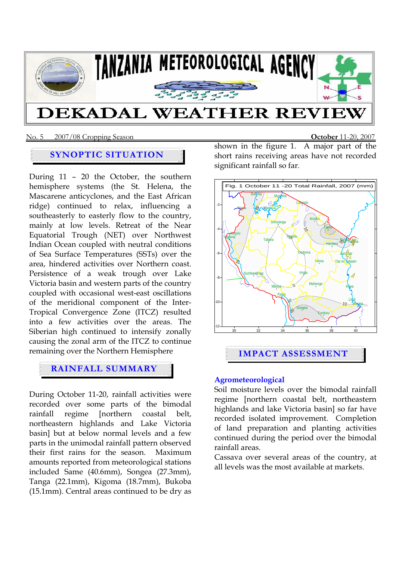

# DEKADAL WEATHER REVIE

### No. 5 2007/08 Cropping Season **October** 11-20, 2007

# **SYNOPTIC SITUATION**

During 11 – 20 the October, the southern hemisphere systems (the St. Helena, the Mascarene anticyclones, and the East African ridge) continued to relax, influencing a southeasterly to easterly flow to the country, mainly at low levels. Retreat of the Near Equatorial Trough (NET) over Northwest Indian Ocean coupled with neutral conditions of Sea Surface Temperatures (SSTs) over the area, hindered activities over Northern coast. Persistence of a weak trough over Lake Victoria basin and western parts of the country coupled with occasional west-east oscillations of the meridional component of the Inter-Tropical Convergence Zone (ITCZ) resulted into a few activities over the areas. The Siberian high continued to intensify zonally causing the zonal arm of the ITCZ to continue remaining over the Northern Hemisphere

# **RAINFALL SUMMARY**

During October 11-20, rainfall activities were recorded over some parts of the bimodal rainfall regime [northern coastal belt, northeastern highlands and Lake Victoria basin] but at below normal levels and a few parts in the unimodal rainfall pattern observed their first rains for the season. Maximum amounts reported from meteorological stations included Same (40.6mm), Songea (27.3mm), Tanga (22.1mm), Kigoma (18.7mm), Bukoba (15.1mm). Central areas continued to be dry as

shown in the figure 1. A major part of the short rains receiving areas have not recorded significant rainfall so far.



## **Agrometeorological**

Soil moisture levels over the bimodal rainfall regime [northern coastal belt, northeastern highlands and lake Victoria basin] so far have recorded isolated improvement. Completion of land preparation and planting activities continued during the period over the bimodal rainfall areas.

Cassava over several areas of the country, at all levels was the most available at markets.